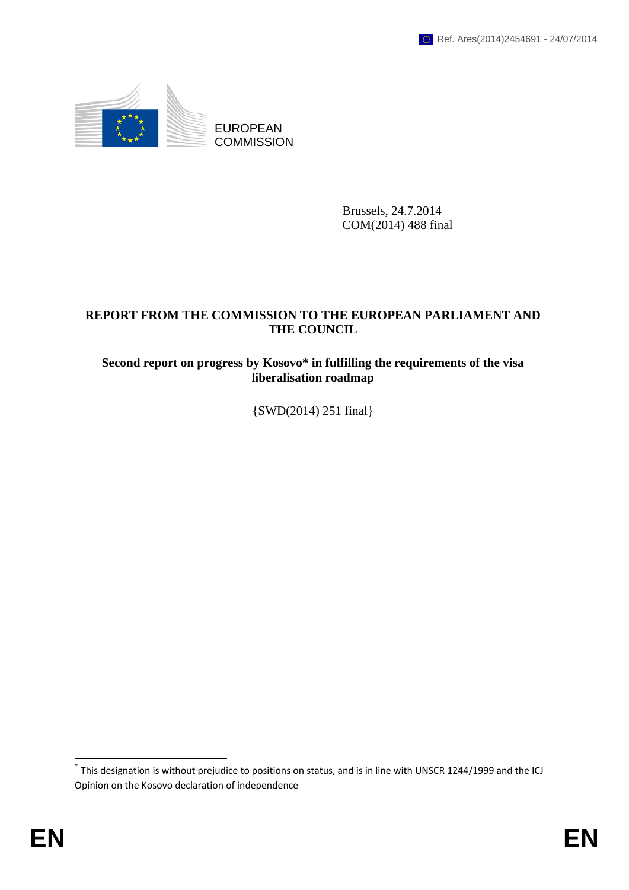

EUROPEAN **COMMISSION** 

> Brussels, 24.7.2014 COM(2014) 488 final

# **REPORT FROM THE COMMISSION TO THE EUROPEAN PARLIAMENT AND THE COUNCIL**

# **Second report on progress by Kosovo\* in fulfilling the requirements of the visa liberalisation roadmap**

{SWD(2014) 251 final}

 $\overline{\phantom{a}}$ 

<sup>\*</sup> This designation is without prejudice to positions on status, and is in line with UNSCR 1244/1999 and the ICJ Opinion on the Kosovo declaration of independence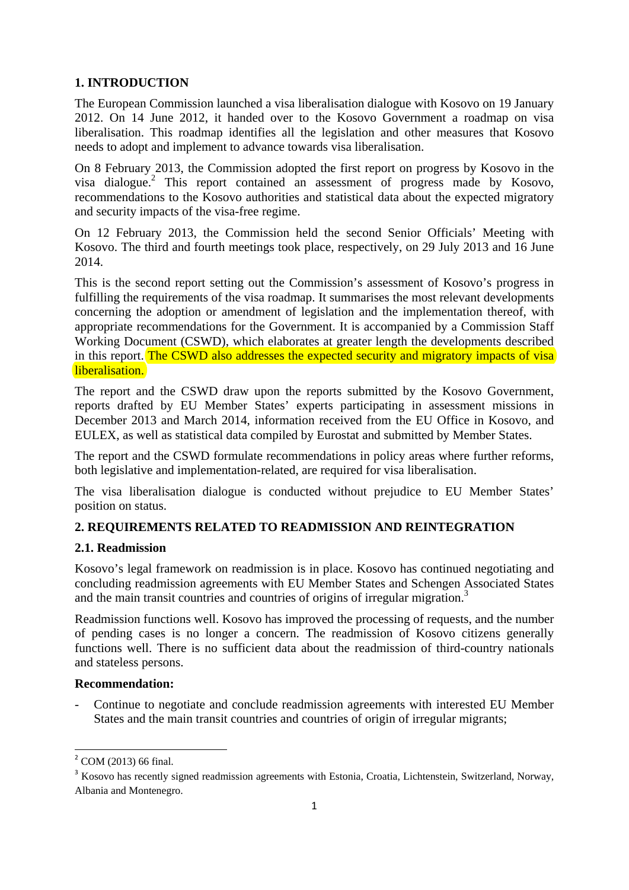## **1. INTRODUCTION**

The European Commission launched a visa liberalisation dialogue with Kosovo on 19 January 2012. On 14 June 2012, it handed over to the Kosovo Government a roadmap on visa liberalisation. This roadmap identifies all the legislation and other measures that Kosovo needs to adopt and implement to advance towards visa liberalisation.

On 8 February 2013, the Commission adopted the first report on progress by Kosovo in the visa dialogue.<sup>2</sup> This report contained an assessment of progress made by Kosovo, recommendations to the Kosovo authorities and statistical data about the expected migratory and security impacts of the visa-free regime.

On 12 February 2013, the Commission held the second Senior Officials' Meeting with Kosovo. The third and fourth meetings took place, respectively, on 29 July 2013 and 16 June 2014.

This is the second report setting out the Commission's assessment of Kosovo's progress in fulfilling the requirements of the visa roadmap. It summarises the most relevant developments concerning the adoption or amendment of legislation and the implementation thereof, with appropriate recommendations for the Government. It is accompanied by a Commission Staff Working Document (CSWD), which elaborates at greater length the developments described in this report. The CSWD also addresses the expected security and migratory impacts of visa liberalisation.

The report and the CSWD draw upon the reports submitted by the Kosovo Government, reports drafted by EU Member States' experts participating in assessment missions in December 2013 and March 2014, information received from the EU Office in Kosovo, and EULEX, as well as statistical data compiled by Eurostat and submitted by Member States.

The report and the CSWD formulate recommendations in policy areas where further reforms, both legislative and implementation-related, are required for visa liberalisation.

The visa liberalisation dialogue is conducted without prejudice to EU Member States' position on status.

## **2. REQUIREMENTS RELATED TO READMISSION AND REINTEGRATION**

## **2.1. Readmission**

Kosovo's legal framework on readmission is in place. Kosovo has continued negotiating and concluding readmission agreements with EU Member States and Schengen Associated States and the main transit countries and countries of origins of irregular migration.<sup>3</sup>

Readmission functions well. Kosovo has improved the processing of requests, and the number of pending cases is no longer a concern. The readmission of Kosovo citizens generally functions well. There is no sufficient data about the readmission of third-country nationals and stateless persons.

#### **Recommendation:**

- Continue to negotiate and conclude readmission agreements with interested EU Member States and the main transit countries and countries of origin of irregular migrants;

 2 COM (2013) 66 final.

<sup>&</sup>lt;sup>3</sup> Kosovo has recently signed readmission agreements with Estonia, Croatia, Lichtenstein, Switzerland, Norway, Albania and Montenegro.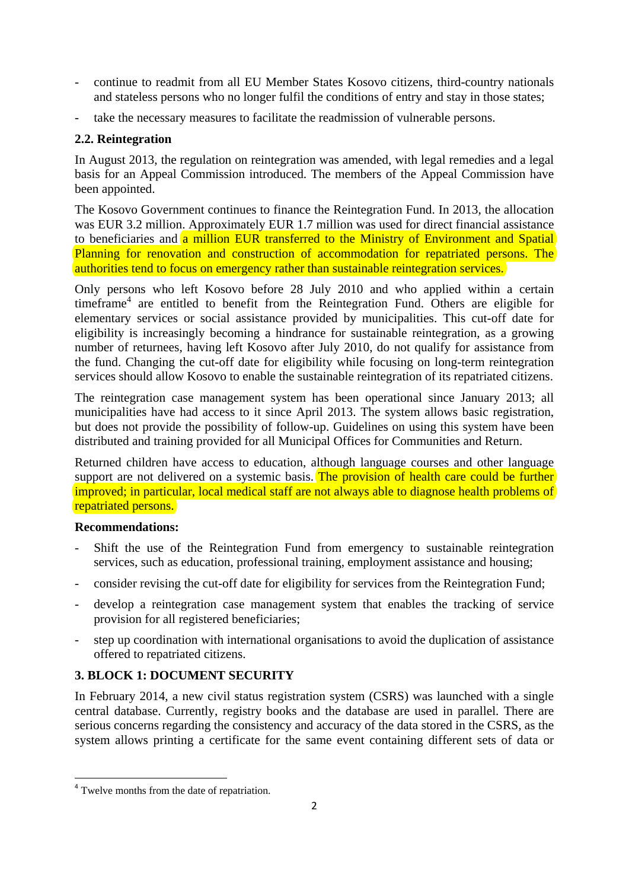- continue to readmit from all EU Member States Kosovo citizens, third-country nationals and stateless persons who no longer fulfil the conditions of entry and stay in those states;
- take the necessary measures to facilitate the readmission of vulnerable persons.

## **2.2. Reintegration**

In August 2013, the regulation on reintegration was amended, with legal remedies and a legal basis for an Appeal Commission introduced. The members of the Appeal Commission have been appointed.

The Kosovo Government continues to finance the Reintegration Fund. In 2013, the allocation was EUR 3.2 million. Approximately EUR 1.7 million was used for direct financial assistance to beneficiaries and a million EUR transferred to the Ministry of Environment and Spatial Planning for renovation and construction of accommodation for repatriated persons. The authorities tend to focus on emergency rather than sustainable reintegration services.

Only persons who left Kosovo before 28 July 2010 and who applied within a certain timeframe<sup>4</sup> are entitled to benefit from the Reintegration Fund. Others are eligible for elementary services or social assistance provided by municipalities. This cut-off date for eligibility is increasingly becoming a hindrance for sustainable reintegration, as a growing number of returnees, having left Kosovo after July 2010, do not qualify for assistance from the fund. Changing the cut-off date for eligibility while focusing on long-term reintegration services should allow Kosovo to enable the sustainable reintegration of its repatriated citizens.

The reintegration case management system has been operational since January 2013; all municipalities have had access to it since April 2013. The system allows basic registration, but does not provide the possibility of follow-up. Guidelines on using this system have been distributed and training provided for all Municipal Offices for Communities and Return.

Returned children have access to education, although language courses and other language support are not delivered on a systemic basis. The provision of health care could be further improved; in particular, local medical staff are not always able to diagnose health problems of repatriated persons.

#### **Recommendations:**

- Shift the use of the Reintegration Fund from emergency to sustainable reintegration services, such as education, professional training, employment assistance and housing;
- consider revising the cut-off date for eligibility for services from the Reintegration Fund;
- develop a reintegration case management system that enables the tracking of service provision for all registered beneficiaries;
- step up coordination with international organisations to avoid the duplication of assistance offered to repatriated citizens.

# **3. BLOCK 1: DOCUMENT SECURITY**

In February 2014, a new civil status registration system (CSRS) was launched with a single central database. Currently, registry books and the database are used in parallel. There are serious concerns regarding the consistency and accuracy of the data stored in the CSRS, as the system allows printing a certificate for the same event containing different sets of data or

<sup>&</sup>lt;sup>4</sup> Twelve months from the date of repatriation.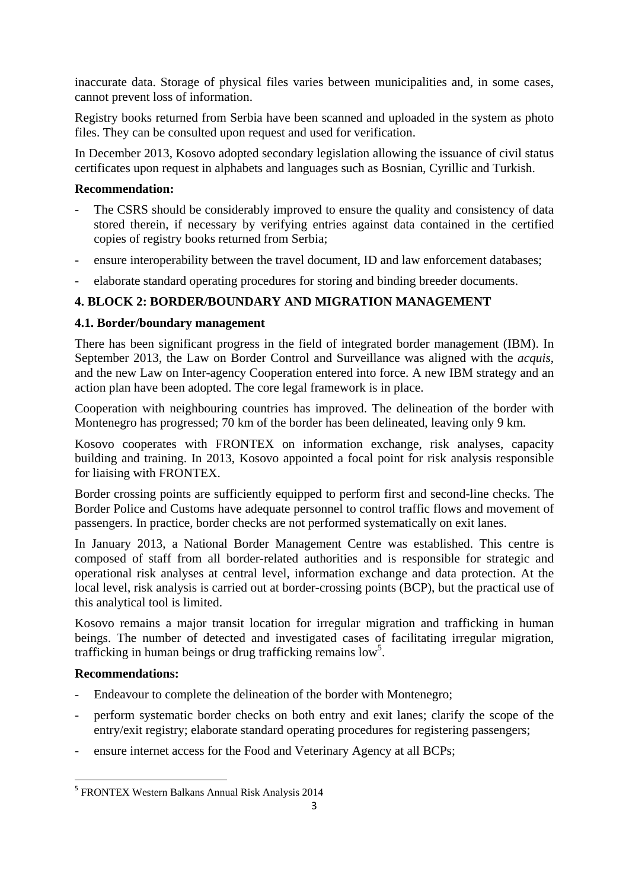inaccurate data. Storage of physical files varies between municipalities and, in some cases, cannot prevent loss of information.

Registry books returned from Serbia have been scanned and uploaded in the system as photo files. They can be consulted upon request and used for verification.

In December 2013, Kosovo adopted secondary legislation allowing the issuance of civil status certificates upon request in alphabets and languages such as Bosnian, Cyrillic and Turkish.

#### **Recommendation:**

- The CSRS should be considerably improved to ensure the quality and consistency of data stored therein, if necessary by verifying entries against data contained in the certified copies of registry books returned from Serbia;
- ensure interoperability between the travel document, ID and law enforcement databases;
- elaborate standard operating procedures for storing and binding breeder documents.

# **4. BLOCK 2: BORDER/BOUNDARY AND MIGRATION MANAGEMENT**

#### **4.1. Border/boundary management**

There has been significant progress in the field of integrated border management (IBM). In September 2013, the Law on Border Control and Surveillance was aligned with the *acquis*, and the new Law on Inter-agency Cooperation entered into force. A new IBM strategy and an action plan have been adopted. The core legal framework is in place.

Cooperation with neighbouring countries has improved. The delineation of the border with Montenegro has progressed; 70 km of the border has been delineated, leaving only 9 km.

Kosovo cooperates with FRONTEX on information exchange, risk analyses, capacity building and training. In 2013, Kosovo appointed a focal point for risk analysis responsible for liaising with FRONTEX.

Border crossing points are sufficiently equipped to perform first and second-line checks. The Border Police and Customs have adequate personnel to control traffic flows and movement of passengers. In practice, border checks are not performed systematically on exit lanes.

In January 2013, a National Border Management Centre was established. This centre is composed of staff from all border-related authorities and is responsible for strategic and operational risk analyses at central level, information exchange and data protection. At the local level, risk analysis is carried out at border-crossing points (BCP), but the practical use of this analytical tool is limited.

Kosovo remains a major transit location for irregular migration and trafficking in human beings. The number of detected and investigated cases of facilitating irregular migration, trafficking in human beings or drug trafficking remains  $\text{low}^5$ .

#### **Recommendations:**

**.** 

- Endeavour to complete the delineation of the border with Montenegro;
- perform systematic border checks on both entry and exit lanes; clarify the scope of the entry/exit registry; elaborate standard operating procedures for registering passengers;
- ensure internet access for the Food and Veterinary Agency at all BCPs;

<sup>5</sup> FRONTEX Western Balkans Annual Risk Analysis 2014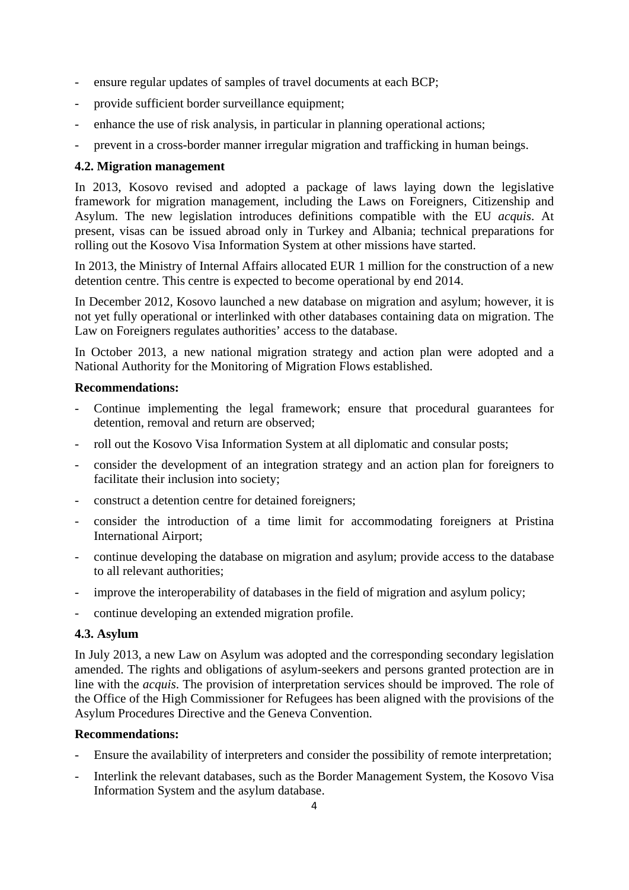- ensure regular updates of samples of travel documents at each BCP;
- provide sufficient border surveillance equipment;
- enhance the use of risk analysis, in particular in planning operational actions;
- prevent in a cross-border manner irregular migration and trafficking in human beings.

#### **4.2. Migration management**

In 2013, Kosovo revised and adopted a package of laws laying down the legislative framework for migration management, including the Laws on Foreigners, Citizenship and Asylum. The new legislation introduces definitions compatible with the EU *acquis*. At present, visas can be issued abroad only in Turkey and Albania; technical preparations for rolling out the Kosovo Visa Information System at other missions have started.

In 2013, the Ministry of Internal Affairs allocated EUR 1 million for the construction of a new detention centre. This centre is expected to become operational by end 2014.

In December 2012, Kosovo launched a new database on migration and asylum; however, it is not yet fully operational or interlinked with other databases containing data on migration. The Law on Foreigners regulates authorities' access to the database.

In October 2013, a new national migration strategy and action plan were adopted and a National Authority for the Monitoring of Migration Flows established.

#### **Recommendations:**

- Continue implementing the legal framework; ensure that procedural guarantees for detention, removal and return are observed;
- roll out the Kosovo Visa Information System at all diplomatic and consular posts;
- consider the development of an integration strategy and an action plan for foreigners to facilitate their inclusion into society;
- construct a detention centre for detained foreigners;
- consider the introduction of a time limit for accommodating foreigners at Pristina International Airport;
- continue developing the database on migration and asylum; provide access to the database to all relevant authorities;
- improve the interoperability of databases in the field of migration and asylum policy;
- continue developing an extended migration profile.

#### **4.3. Asylum**

In July 2013, a new Law on Asylum was adopted and the corresponding secondary legislation amended. The rights and obligations of asylum-seekers and persons granted protection are in line with the *acquis*. The provision of interpretation services should be improved. The role of the Office of the High Commissioner for Refugees has been aligned with the provisions of the Asylum Procedures Directive and the Geneva Convention.

#### **Recommendations:**

- Ensure the availability of interpreters and consider the possibility of remote interpretation;
- Interlink the relevant databases, such as the Border Management System, the Kosovo Visa Information System and the asylum database.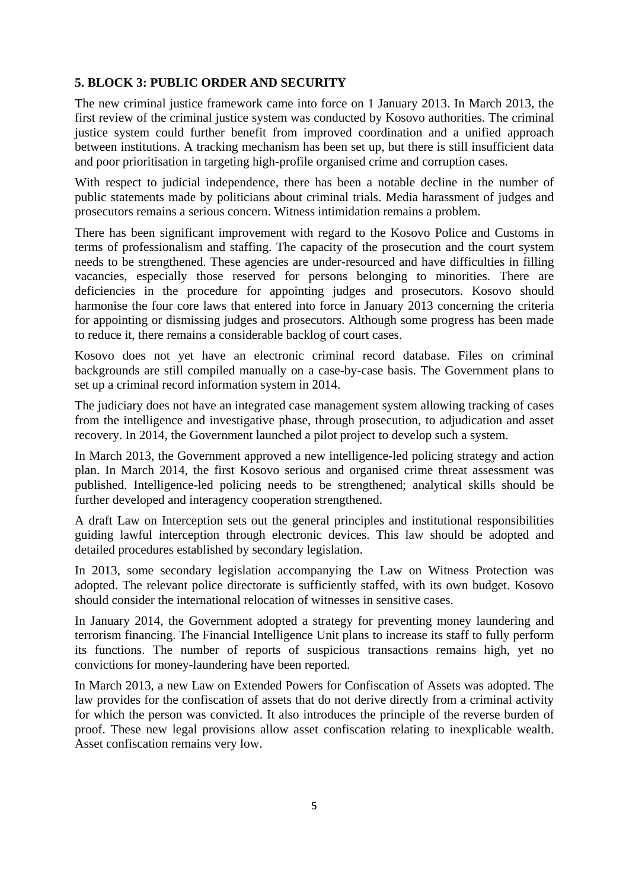#### **5. BLOCK 3: PUBLIC ORDER AND SECURITY**

The new criminal justice framework came into force on 1 January 2013. In March 2013, the first review of the criminal justice system was conducted by Kosovo authorities. The criminal justice system could further benefit from improved coordination and a unified approach between institutions. A tracking mechanism has been set up, but there is still insufficient data and poor prioritisation in targeting high-profile organised crime and corruption cases.

With respect to judicial independence, there has been a notable decline in the number of public statements made by politicians about criminal trials. Media harassment of judges and prosecutors remains a serious concern. Witness intimidation remains a problem.

There has been significant improvement with regard to the Kosovo Police and Customs in terms of professionalism and staffing. The capacity of the prosecution and the court system needs to be strengthened. These agencies are under-resourced and have difficulties in filling vacancies, especially those reserved for persons belonging to minorities. There are deficiencies in the procedure for appointing judges and prosecutors. Kosovo should harmonise the four core laws that entered into force in January 2013 concerning the criteria for appointing or dismissing judges and prosecutors. Although some progress has been made to reduce it, there remains a considerable backlog of court cases.

Kosovo does not yet have an electronic criminal record database. Files on criminal backgrounds are still compiled manually on a case-by-case basis. The Government plans to set up a criminal record information system in 2014.

The judiciary does not have an integrated case management system allowing tracking of cases from the intelligence and investigative phase, through prosecution, to adjudication and asset recovery. In 2014, the Government launched a pilot project to develop such a system.

In March 2013, the Government approved a new intelligence-led policing strategy and action plan. In March 2014, the first Kosovo serious and organised crime threat assessment was published. Intelligence-led policing needs to be strengthened; analytical skills should be further developed and interagency cooperation strengthened.

A draft Law on Interception sets out the general principles and institutional responsibilities guiding lawful interception through electronic devices. This law should be adopted and detailed procedures established by secondary legislation.

In 2013, some secondary legislation accompanying the Law on Witness Protection was adopted. The relevant police directorate is sufficiently staffed, with its own budget. Kosovo should consider the international relocation of witnesses in sensitive cases.

In January 2014, the Government adopted a strategy for preventing money laundering and terrorism financing. The Financial Intelligence Unit plans to increase its staff to fully perform its functions. The number of reports of suspicious transactions remains high, yet no convictions for money-laundering have been reported.

In March 2013, a new Law on Extended Powers for Confiscation of Assets was adopted. The law provides for the confiscation of assets that do not derive directly from a criminal activity for which the person was convicted. It also introduces the principle of the reverse burden of proof. These new legal provisions allow asset confiscation relating to inexplicable wealth. Asset confiscation remains very low.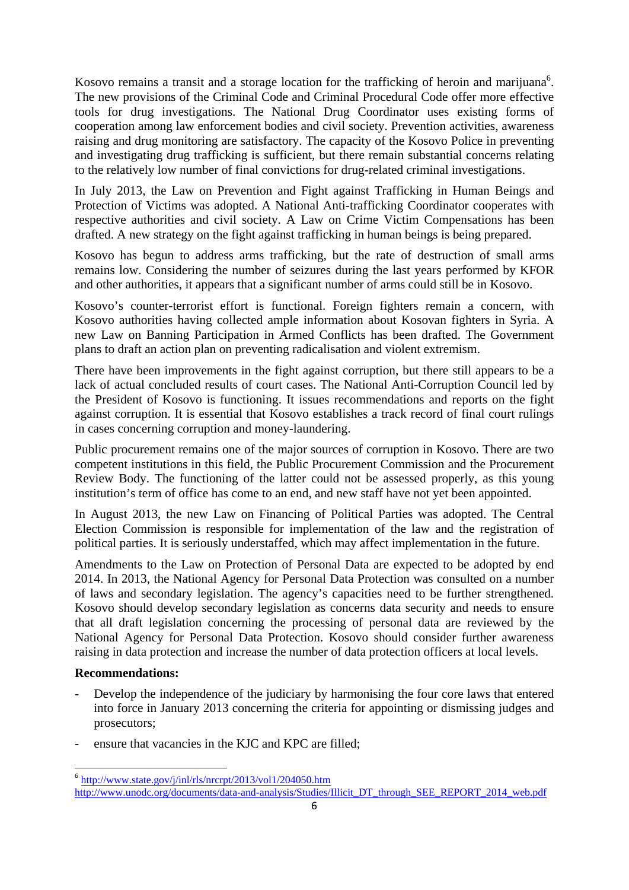Kosovo remains a transit and a storage location for the trafficking of heroin and marijuana<sup>6</sup>. The new provisions of the Criminal Code and Criminal Procedural Code offer more effective tools for drug investigations. The National Drug Coordinator uses existing forms of cooperation among law enforcement bodies and civil society. Prevention activities, awareness raising and drug monitoring are satisfactory. The capacity of the Kosovo Police in preventing and investigating drug trafficking is sufficient, but there remain substantial concerns relating to the relatively low number of final convictions for drug-related criminal investigations.

In July 2013, the Law on Prevention and Fight against Trafficking in Human Beings and Protection of Victims was adopted. A National Anti-trafficking Coordinator cooperates with respective authorities and civil society. A Law on Crime Victim Compensations has been drafted. A new strategy on the fight against trafficking in human beings is being prepared.

Kosovo has begun to address arms trafficking, but the rate of destruction of small arms remains low. Considering the number of seizures during the last years performed by KFOR and other authorities, it appears that a significant number of arms could still be in Kosovo.

Kosovo's counter-terrorist effort is functional. Foreign fighters remain a concern, with Kosovo authorities having collected ample information about Kosovan fighters in Syria. A new Law on Banning Participation in Armed Conflicts has been drafted. The Government plans to draft an action plan on preventing radicalisation and violent extremism.

There have been improvements in the fight against corruption, but there still appears to be a lack of actual concluded results of court cases. The National Anti-Corruption Council led by the President of Kosovo is functioning. It issues recommendations and reports on the fight against corruption. It is essential that Kosovo establishes a track record of final court rulings in cases concerning corruption and money-laundering.

Public procurement remains one of the major sources of corruption in Kosovo. There are two competent institutions in this field, the Public Procurement Commission and the Procurement Review Body. The functioning of the latter could not be assessed properly, as this young institution's term of office has come to an end, and new staff have not yet been appointed.

In August 2013, the new Law on Financing of Political Parties was adopted. The Central Election Commission is responsible for implementation of the law and the registration of political parties. It is seriously understaffed, which may affect implementation in the future.

Amendments to the Law on Protection of Personal Data are expected to be adopted by end 2014. In 2013, the National Agency for Personal Data Protection was consulted on a number of laws and secondary legislation. The agency's capacities need to be further strengthened. Kosovo should develop secondary legislation as concerns data security and needs to ensure that all draft legislation concerning the processing of personal data are reviewed by the National Agency for Personal Data Protection. Kosovo should consider further awareness raising in data protection and increase the number of data protection officers at local levels.

#### **Recommendations:**

**.** 

- Develop the independence of the judiciary by harmonising the four core laws that entered into force in January 2013 concerning the criteria for appointing or dismissing judges and prosecutors;
- ensure that vacancies in the KJC and KPC are filled;

 $6$  <http://www.state.gov/j/inl/rls/nrcrpt/2013/vol1/204050.htm> [http://www.unodc.org/documents/data-and-analysis/Studies/Illicit\\_DT\\_through\\_SEE\\_REPORT\\_2014\\_web.pdf](http://www.unodc.org/documents/data-and-analysis/Studies/Illicit_DT_through_SEE_REPORT_2014_web.pdf)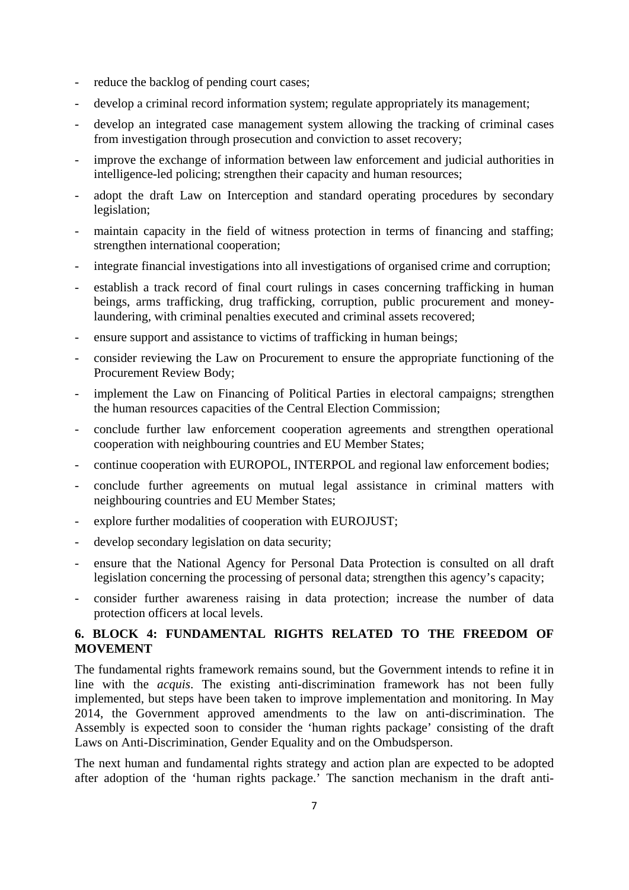- reduce the backlog of pending court cases;
- develop a criminal record information system; regulate appropriately its management;
- develop an integrated case management system allowing the tracking of criminal cases from investigation through prosecution and conviction to asset recovery;
- improve the exchange of information between law enforcement and judicial authorities in intelligence-led policing; strengthen their capacity and human resources;
- adopt the draft Law on Interception and standard operating procedures by secondary legislation;
- maintain capacity in the field of witness protection in terms of financing and staffing; strengthen international cooperation;
- integrate financial investigations into all investigations of organised crime and corruption;
- establish a track record of final court rulings in cases concerning trafficking in human beings, arms trafficking, drug trafficking, corruption, public procurement and moneylaundering, with criminal penalties executed and criminal assets recovered;
- ensure support and assistance to victims of trafficking in human beings;
- consider reviewing the Law on Procurement to ensure the appropriate functioning of the Procurement Review Body;
- implement the Law on Financing of Political Parties in electoral campaigns; strengthen the human resources capacities of the Central Election Commission;
- conclude further law enforcement cooperation agreements and strengthen operational cooperation with neighbouring countries and EU Member States;
- continue cooperation with EUROPOL, INTERPOL and regional law enforcement bodies;
- conclude further agreements on mutual legal assistance in criminal matters with neighbouring countries and EU Member States;
- explore further modalities of cooperation with EUROJUST;
- develop secondary legislation on data security;
- ensure that the National Agency for Personal Data Protection is consulted on all draft legislation concerning the processing of personal data; strengthen this agency's capacity;
- consider further awareness raising in data protection; increase the number of data protection officers at local levels.

## **6. BLOCK 4: FUNDAMENTAL RIGHTS RELATED TO THE FREEDOM OF MOVEMENT**

The fundamental rights framework remains sound, but the Government intends to refine it in line with the *acquis*. The existing anti-discrimination framework has not been fully implemented, but steps have been taken to improve implementation and monitoring. In May 2014, the Government approved amendments to the law on anti-discrimination. The Assembly is expected soon to consider the 'human rights package' consisting of the draft Laws on Anti-Discrimination, Gender Equality and on the Ombudsperson.

The next human and fundamental rights strategy and action plan are expected to be adopted after adoption of the 'human rights package.' The sanction mechanism in the draft anti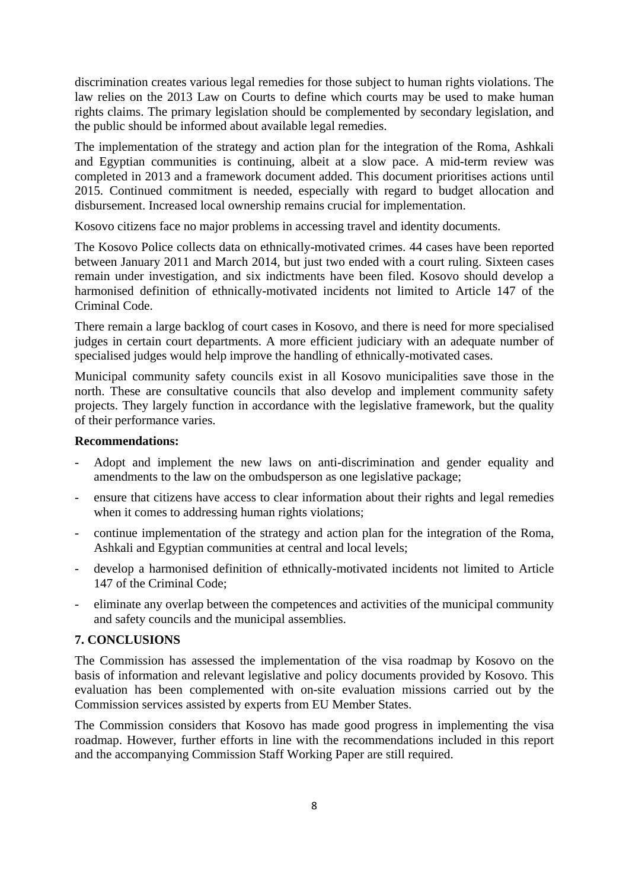discrimination creates various legal remedies for those subject to human rights violations. The law relies on the 2013 Law on Courts to define which courts may be used to make human rights claims. The primary legislation should be complemented by secondary legislation, and the public should be informed about available legal remedies.

The implementation of the strategy and action plan for the integration of the Roma, Ashkali and Egyptian communities is continuing, albeit at a slow pace. A mid-term review was completed in 2013 and a framework document added. This document prioritises actions until 2015. Continued commitment is needed, especially with regard to budget allocation and disbursement. Increased local ownership remains crucial for implementation.

Kosovo citizens face no major problems in accessing travel and identity documents.

The Kosovo Police collects data on ethnically-motivated crimes. 44 cases have been reported between January 2011 and March 2014, but just two ended with a court ruling. Sixteen cases remain under investigation, and six indictments have been filed. Kosovo should develop a harmonised definition of ethnically-motivated incidents not limited to Article 147 of the Criminal Code.

There remain a large backlog of court cases in Kosovo, and there is need for more specialised judges in certain court departments. A more efficient judiciary with an adequate number of specialised judges would help improve the handling of ethnically-motivated cases.

Municipal community safety councils exist in all Kosovo municipalities save those in the north. These are consultative councils that also develop and implement community safety projects. They largely function in accordance with the legislative framework, but the quality of their performance varies.

#### **Recommendations:**

- Adopt and implement the new laws on anti-discrimination and gender equality and amendments to the law on the ombudsperson as one legislative package;
- ensure that citizens have access to clear information about their rights and legal remedies when it comes to addressing human rights violations;
- continue implementation of the strategy and action plan for the integration of the Roma, Ashkali and Egyptian communities at central and local levels;
- develop a harmonised definition of ethnically-motivated incidents not limited to Article 147 of the Criminal Code;
- eliminate any overlap between the competences and activities of the municipal community and safety councils and the municipal assemblies.

#### **7. CONCLUSIONS**

The Commission has assessed the implementation of the visa roadmap by Kosovo on the basis of information and relevant legislative and policy documents provided by Kosovo. This evaluation has been complemented with on-site evaluation missions carried out by the Commission services assisted by experts from EU Member States.

The Commission considers that Kosovo has made good progress in implementing the visa roadmap. However, further efforts in line with the recommendations included in this report and the accompanying Commission Staff Working Paper are still required.